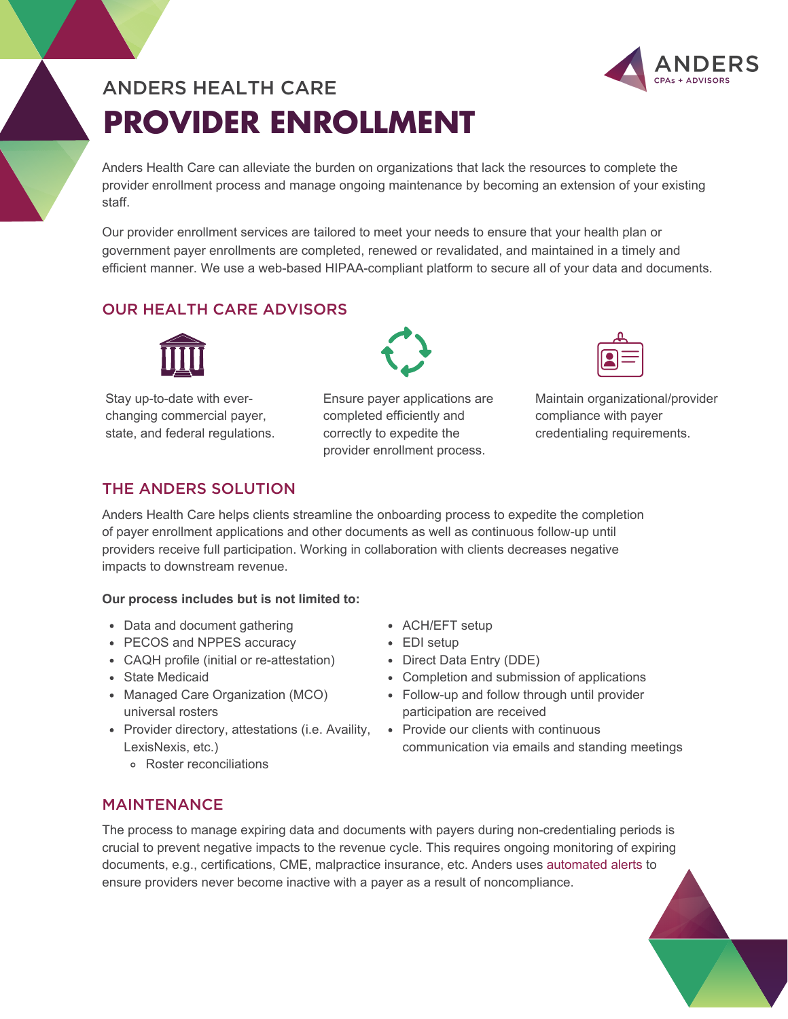# **PROVIDER ENROLLMENT** ANDERS HEALTH CARE



Anders Health Care can alleviate the burden on organizations that lack the resources to complete the provider enrollment process and manage ongoing maintenance by becoming an extension of your existing staff.

Our provider enrollment services are tailored to meet your needs to ensure that your health plan or government payer enrollments are completed, renewed or revalidated, and maintained in a timely and efficient manner. We use a web-based HIPAA-compliant platform to secure all of your data and documents.

## OUR HEALTH CARE ADVISORS



Stay up-to-date with everchanging commercial payer, state, and federal regulations.



Ensure payer applications are completed efficiently and correctly to expedite the provider enrollment process.

Maintain organizational/provider compliance with payer credentialing requirements.

## THE ANDERS SOLUTION

Anders Health Care helps clients streamline the onboarding process to expedite the completion of payer enrollment applications and other documents as well as continuous follow-up until providers receive full participation. Working in collaboration with clients decreases negative impacts to downstream revenue.

#### **Our process includes but is not limited to:**

- Data and document gathering
- PECOS and NPPES accuracy
- CAQH profile (initial or re-attestation)
- State Medicaid
- Managed Care Organization (MCO) universal rosters
- Provider directory, attestations (i.e. Availity, LexisNexis, etc.)
	- Roster reconciliations
- ACH/EFT setup
- EDI setup
- Direct Data Entry (DDE)
- Completion and submission of applications
- Follow-up and follow through until provider participation are received
- Provide our clients with continuous communication via emails and standing meetings

#### MAINTENANCE

The process to manage expiring data and documents with payers during non-credentialing periods is crucial to prevent negative impacts to the revenue cycle. This requires ongoing monitoring of expiring documents, e.g., certifications, CME, malpractice insurance, etc. Anders uses [automated alerts](https://www.youtube.com/watch?v=eI1mskvAjCk) to ensure providers never become inactive with a payer as a result of noncompliance.